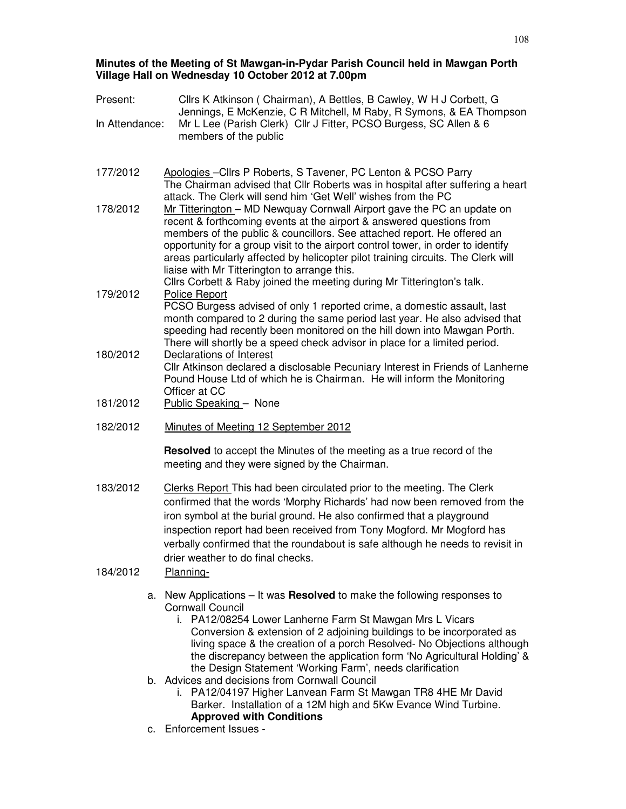### **Minutes of the Meeting of St Mawgan-in-Pydar Parish Council held in Mawgan Porth Village Hall on Wednesday 10 October 2012 at 7.00pm**

| Present:       | Cllrs K Atkinson ( Chairman), A Bettles, B Cawley, W H J Corbett, G<br>Jennings, E McKenzie, C R Mitchell, M Raby, R Symons, & EA Thompson<br>Mr L Lee (Parish Clerk) Cllr J Fitter, PCSO Burgess, SC Allen & 6<br>members of the public                                                                                                                                                                                                                                                                                     |  |  |  |  |
|----------------|------------------------------------------------------------------------------------------------------------------------------------------------------------------------------------------------------------------------------------------------------------------------------------------------------------------------------------------------------------------------------------------------------------------------------------------------------------------------------------------------------------------------------|--|--|--|--|
| In Attendance: |                                                                                                                                                                                                                                                                                                                                                                                                                                                                                                                              |  |  |  |  |
| 177/2012       | Apologies - Cllrs P Roberts, S Tavener, PC Lenton & PCSO Parry<br>The Chairman advised that Cllr Roberts was in hospital after suffering a heart<br>attack. The Clerk will send him 'Get Well' wishes from the PC                                                                                                                                                                                                                                                                                                            |  |  |  |  |
| 178/2012       | Mr Titterington - MD Newquay Cornwall Airport gave the PC an update on<br>recent & forthcoming events at the airport & answered questions from<br>members of the public & councillors. See attached report. He offered an<br>opportunity for a group visit to the airport control tower, in order to identify<br>areas particularly affected by helicopter pilot training circuits. The Clerk will<br>liaise with Mr Titterington to arrange this.<br>Cllrs Corbett & Raby joined the meeting during Mr Titterington's talk. |  |  |  |  |
| 179/2012       | <b>Police Report</b><br>PCSO Burgess advised of only 1 reported crime, a domestic assault, last<br>month compared to 2 during the same period last year. He also advised that<br>speeding had recently been monitored on the hill down into Mawgan Porth.<br>There will shortly be a speed check advisor in place for a limited period.                                                                                                                                                                                      |  |  |  |  |
| 180/2012       | Declarations of Interest<br>Cllr Atkinson declared a disclosable Pecuniary Interest in Friends of Lanherne<br>Pound House Ltd of which he is Chairman. He will inform the Monitoring<br>Officer at CC                                                                                                                                                                                                                                                                                                                        |  |  |  |  |
| 181/2012       | Public Speaking - None                                                                                                                                                                                                                                                                                                                                                                                                                                                                                                       |  |  |  |  |
| 182/2012       | Minutes of Meeting 12 September 2012                                                                                                                                                                                                                                                                                                                                                                                                                                                                                         |  |  |  |  |
|                | <b>Resolved</b> to accept the Minutes of the meeting as a true record of the<br>meeting and they were signed by the Chairman.                                                                                                                                                                                                                                                                                                                                                                                                |  |  |  |  |
| 183/2012       | Clerks Report This had been circulated prior to the meeting. The Clerk<br>confirmed that the words 'Morphy Richards' had now been removed from the<br>iron symbol at the burial ground. He also confirmed that a playground<br>inspection report had been received from Tony Mogford. Mr Mogford has<br>verbally confirmed that the roundabout is safe although he needs to revisit in<br>drier weather to do final checks.                                                                                                  |  |  |  |  |
| 184/2012       | Planning-                                                                                                                                                                                                                                                                                                                                                                                                                                                                                                                    |  |  |  |  |
| а.             | New Applications – It was Resolved to make the following responses to<br><b>Cornwall Council</b><br>i. PA12/08254 Lower Lanherne Farm St Mawgan Mrs L Vicars<br>Conversion & extension of 2 adjoining buildings to be incorporated as<br>living space & the creation of a porch Resolved- No Objections although<br>the discrepancy between the application form 'No Agricultural Holding' &                                                                                                                                 |  |  |  |  |

- the Design Statement 'Working Farm', needs clarification
- b. Advices and decisions from Cornwall Council
	- i. PA12/04197 Higher Lanvean Farm St Mawgan TR8 4HE Mr David Barker. Installation of a 12M high and 5Kw Evance Wind Turbine. **Approved with Conditions**
- c. Enforcement Issues -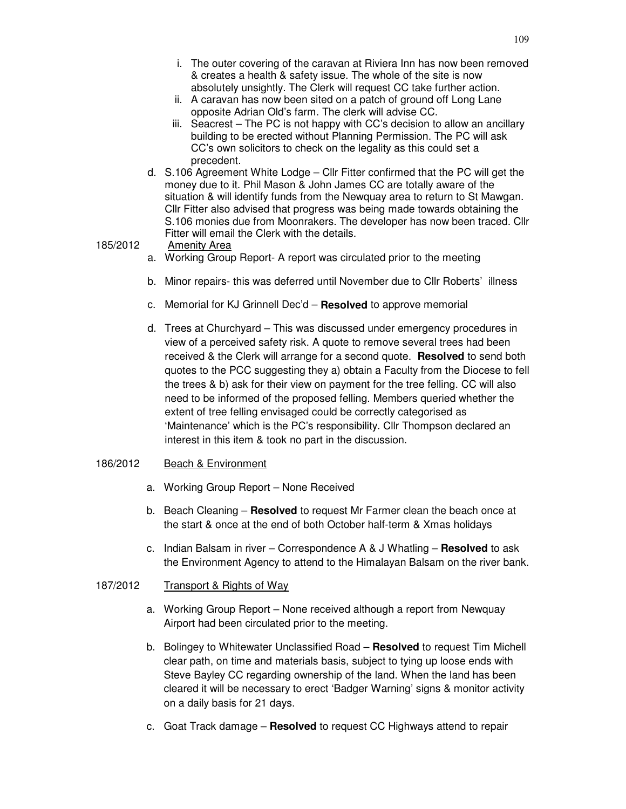- i. The outer covering of the caravan at Riviera Inn has now been removed & creates a health & safety issue. The whole of the site is now absolutely unsightly. The Clerk will request CC take further action.
- ii. A caravan has now been sited on a patch of ground off Long Lane opposite Adrian Old's farm. The clerk will advise CC.
- iii. Seacrest The PC is not happy with CC's decision to allow an ancillary building to be erected without Planning Permission. The PC will ask CC's own solicitors to check on the legality as this could set a precedent.
- d. S.106 Agreement White Lodge Cllr Fitter confirmed that the PC will get the money due to it. Phil Mason & John James CC are totally aware of the situation & will identify funds from the Newquay area to return to St Mawgan. Cllr Fitter also advised that progress was being made towards obtaining the S.106 monies due from Moonrakers. The developer has now been traced. Cllr Fitter will email the Clerk with the details.

185/2012 Amenity Area

- a. Working Group Report- A report was circulated prior to the meeting
- b. Minor repairs- this was deferred until November due to Cllr Roberts' illness
- c. Memorial for KJ Grinnell Dec'd **Resolved** to approve memorial
- d. Trees at Churchyard This was discussed under emergency procedures in view of a perceived safety risk. A quote to remove several trees had been received & the Clerk will arrange for a second quote. **Resolved** to send both quotes to the PCC suggesting they a) obtain a Faculty from the Diocese to fell the trees & b) ask for their view on payment for the tree felling. CC will also need to be informed of the proposed felling. Members queried whether the extent of tree felling envisaged could be correctly categorised as 'Maintenance' which is the PC's responsibility. Cllr Thompson declared an interest in this item & took no part in the discussion.

#### 186/2012 Beach & Environment

- a. Working Group Report None Received
- b. Beach Cleaning **Resolved** to request Mr Farmer clean the beach once at the start & once at the end of both October half-term & Xmas holidays
- c. Indian Balsam in river Correspondence A & J Whatling **Resolved** to ask the Environment Agency to attend to the Himalayan Balsam on the river bank.

#### 187/2012 Transport & Rights of Way

- a. Working Group Report None received although a report from Newquay Airport had been circulated prior to the meeting.
- b. Bolingey to Whitewater Unclassified Road **Resolved** to request Tim Michell clear path, on time and materials basis, subject to tying up loose ends with Steve Bayley CC regarding ownership of the land. When the land has been cleared it will be necessary to erect 'Badger Warning' signs & monitor activity on a daily basis for 21 days.
- c. Goat Track damage **Resolved** to request CC Highways attend to repair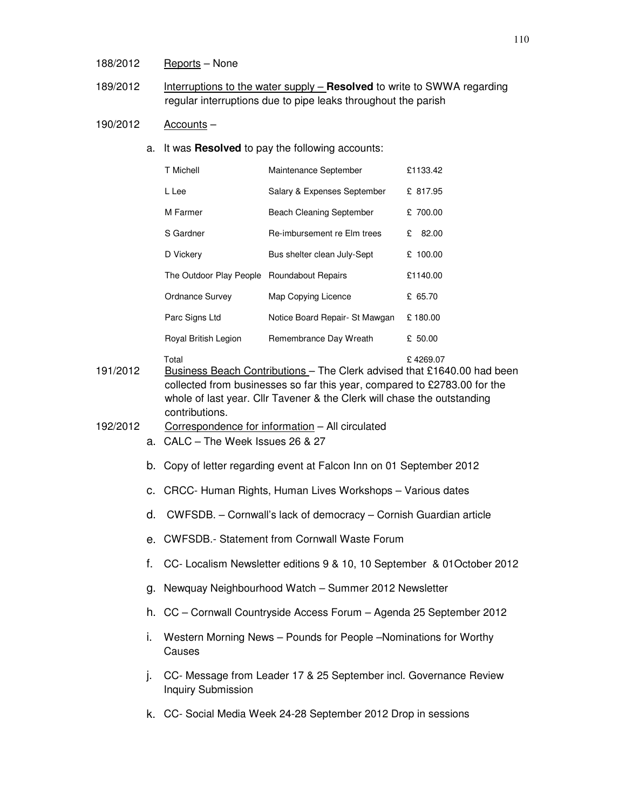## 188/2012 Reports – None

189/2012 Interruptions to the water supply – **Resolved** to write to SWWA regarding regular interruptions due to pipe leaks throughout the parish

# 190/2012 Accounts –

a. It was **Resolved** to pay the following accounts:

|          |    | T Michell                                                                                                                                                                                                                                                             | Maintenance September           | £1133.42  |  |  |
|----------|----|-----------------------------------------------------------------------------------------------------------------------------------------------------------------------------------------------------------------------------------------------------------------------|---------------------------------|-----------|--|--|
|          |    | L Lee                                                                                                                                                                                                                                                                 | Salary & Expenses September     | £ 817.95  |  |  |
|          |    | M Farmer                                                                                                                                                                                                                                                              | <b>Beach Cleaning September</b> | £ 700.00  |  |  |
|          |    | S Gardner                                                                                                                                                                                                                                                             | Re-imbursement re Elm trees     | £ 82.00   |  |  |
|          |    | D Vickery                                                                                                                                                                                                                                                             | Bus shelter clean July-Sept     | £ 100.00  |  |  |
|          |    | The Outdoor Play People Roundabout Repairs                                                                                                                                                                                                                            |                                 | £1140.00  |  |  |
|          |    | <b>Ordnance Survey</b>                                                                                                                                                                                                                                                | Map Copying Licence             | £ 65.70   |  |  |
|          |    | Parc Signs Ltd                                                                                                                                                                                                                                                        | Notice Board Repair- St Mawgan  | £180.00   |  |  |
|          |    | Royal British Legion                                                                                                                                                                                                                                                  | Remembrance Day Wreath          | £ $50.00$ |  |  |
| 191/2012 |    | Total<br>£4269.07<br>Business Beach Contributions - The Clerk advised that £1640.00 had been<br>collected from businesses so far this year, compared to £2783.00 for the<br>whole of last year. Cllr Tavener & the Clerk will chase the outstanding<br>contributions. |                                 |           |  |  |
| 192/2012 |    | Correspondence for information - All circulated<br>a. CALC - The Week Issues 26 & 27                                                                                                                                                                                  |                                 |           |  |  |
|          |    | b. Copy of letter regarding event at Falcon Inn on 01 September 2012                                                                                                                                                                                                  |                                 |           |  |  |
|          | C. | CRCC- Human Rights, Human Lives Workshops - Various dates                                                                                                                                                                                                             |                                 |           |  |  |
|          | d. | CWFSDB. - Cornwall's lack of democracy - Cornish Guardian article                                                                                                                                                                                                     |                                 |           |  |  |
|          |    | e. CWFSDB.- Statement from Cornwall Waste Forum                                                                                                                                                                                                                       |                                 |           |  |  |
|          | f. | CC- Localism Newsletter editions 9 & 10, 10 September & 01 October 2012                                                                                                                                                                                               |                                 |           |  |  |
|          |    | g. Newquay Neighbourhood Watch - Summer 2012 Newsletter                                                                                                                                                                                                               |                                 |           |  |  |
|          |    | h. CC - Cornwall Countryside Access Forum - Agenda 25 September 2012                                                                                                                                                                                                  |                                 |           |  |  |
|          | i. | Western Morning News - Pounds for People - Nominations for Worthy<br>Causes                                                                                                                                                                                           |                                 |           |  |  |
|          | j. | CC- Message from Leader 17 & 25 September incl. Governance Review<br><b>Inquiry Submission</b>                                                                                                                                                                        |                                 |           |  |  |

k. CC- Social Media Week 24-28 September 2012 Drop in sessions